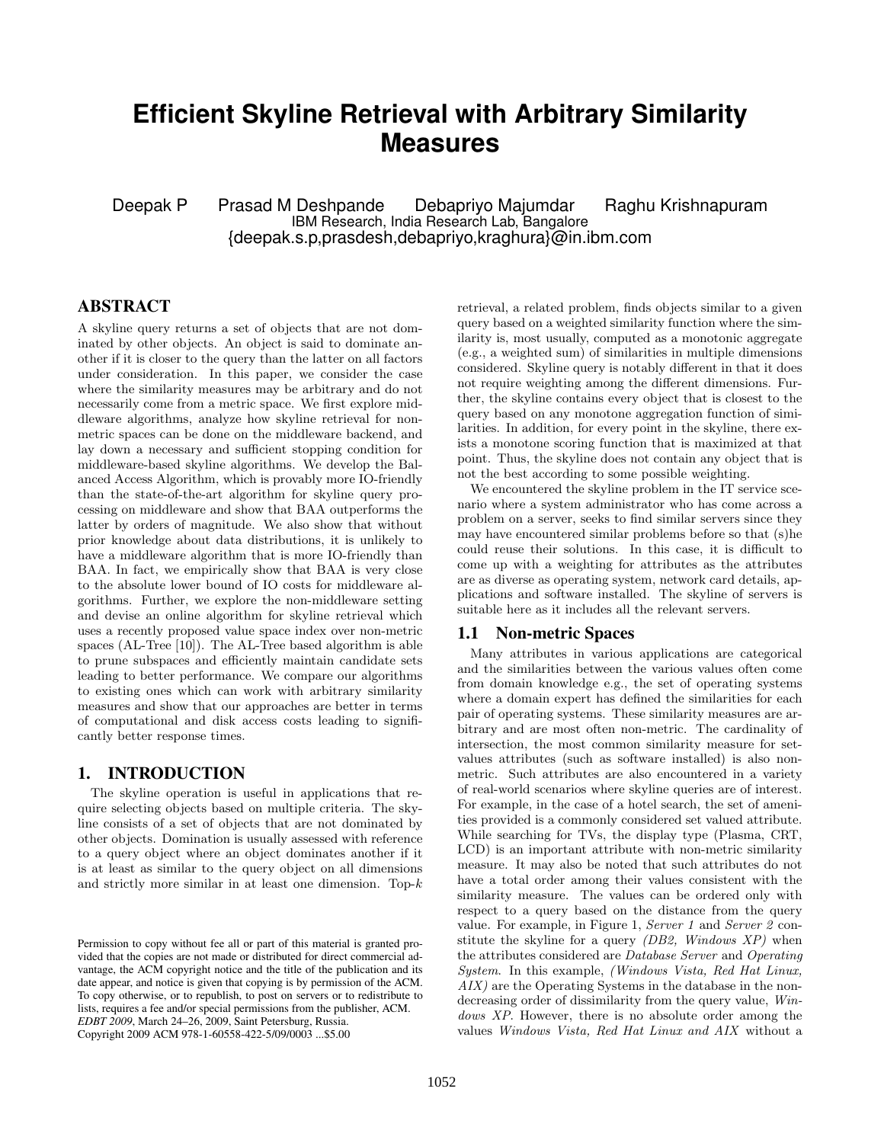# **Efficient Skyline Retrieval with Arbitrary Similarity Measures**

Deepak P Prasad M Deshpande Debapriyo Majumdar Raghu Krishnapuram IBM Research, India Research Lab, Bangalore {deepak.s.p,prasdesh,debapriyo,kraghura}@in.ibm.com

# ABSTRACT

A skyline query returns a set of objects that are not dominated by other objects. An object is said to dominate another if it is closer to the query than the latter on all factors under consideration. In this paper, we consider the case where the similarity measures may be arbitrary and do not necessarily come from a metric space. We first explore middleware algorithms, analyze how skyline retrieval for nonmetric spaces can be done on the middleware backend, and lay down a necessary and sufficient stopping condition for middleware-based skyline algorithms. We develop the Balanced Access Algorithm, which is provably more IO-friendly than the state-of-the-art algorithm for skyline query processing on middleware and show that BAA outperforms the latter by orders of magnitude. We also show that without prior knowledge about data distributions, it is unlikely to have a middleware algorithm that is more IO-friendly than BAA. In fact, we empirically show that BAA is very close to the absolute lower bound of IO costs for middleware algorithms. Further, we explore the non-middleware setting and devise an online algorithm for skyline retrieval which uses a recently proposed value space index over non-metric spaces (AL-Tree [10]). The AL-Tree based algorithm is able to prune subspaces and efficiently maintain candidate sets leading to better performance. We compare our algorithms to existing ones which can work with arbitrary similarity measures and show that our approaches are better in terms of computational and disk access costs leading to significantly better response times.

# 1. INTRODUCTION

The skyline operation is useful in applications that require selecting objects based on multiple criteria. The skyline consists of a set of objects that are not dominated by other objects. Domination is usually assessed with reference to a query object where an object dominates another if it is at least as similar to the query object on all dimensions and strictly more similar in at least one dimension. Top-k retrieval, a related problem, finds objects similar to a given query based on a weighted similarity function where the similarity is, most usually, computed as a monotonic aggregate (e.g., a weighted sum) of similarities in multiple dimensions considered. Skyline query is notably different in that it does not require weighting among the different dimensions. Further, the skyline contains every object that is closest to the query based on any monotone aggregation function of similarities. In addition, for every point in the skyline, there exists a monotone scoring function that is maximized at that point. Thus, the skyline does not contain any object that is not the best according to some possible weighting.

We encountered the skyline problem in the IT service scenario where a system administrator who has come across a problem on a server, seeks to find similar servers since they may have encountered similar problems before so that (s)he could reuse their solutions. In this case, it is difficult to come up with a weighting for attributes as the attributes are as diverse as operating system, network card details, applications and software installed. The skyline of servers is suitable here as it includes all the relevant servers.

# 1.1 Non-metric Spaces

Many attributes in various applications are categorical and the similarities between the various values often come from domain knowledge e.g., the set of operating systems where a domain expert has defined the similarities for each pair of operating systems. These similarity measures are arbitrary and are most often non-metric. The cardinality of intersection, the most common similarity measure for setvalues attributes (such as software installed) is also nonmetric. Such attributes are also encountered in a variety of real-world scenarios where skyline queries are of interest. For example, in the case of a hotel search, the set of amenities provided is a commonly considered set valued attribute. While searching for TVs, the display type (Plasma, CRT, LCD) is an important attribute with non-metric similarity measure. It may also be noted that such attributes do not have a total order among their values consistent with the similarity measure. The values can be ordered only with respect to a query based on the distance from the query value. For example, in Figure 1, Server 1 and Server 2 constitute the skyline for a query  $(DB2, Windows XP)$  when the attributes considered are Database Server and Operating System. In this example, (Windows Vista, Red Hat Linux, AIX) are the Operating Systems in the database in the nondecreasing order of dissimilarity from the query value, Windows XP. However, there is no absolute order among the values Windows Vista, Red Hat Linux and AIX without a

Permission to copy without fee all or part of this material is granted provided that the copies are not made or distributed for direct commercial advantage, the ACM copyright notice and the title of the publication and its date appear, and notice is given that copying is by permission of the ACM. To copy otherwise, or to republish, to post on servers or to redistribute to lists, requires a fee and/or special permissions from the publisher, ACM. *EDBT 2009*, March 24–26, 2009, Saint Petersburg, Russia. Copyright 2009 ACM 978-1-60558-422-5/09/0003 ...\$5.00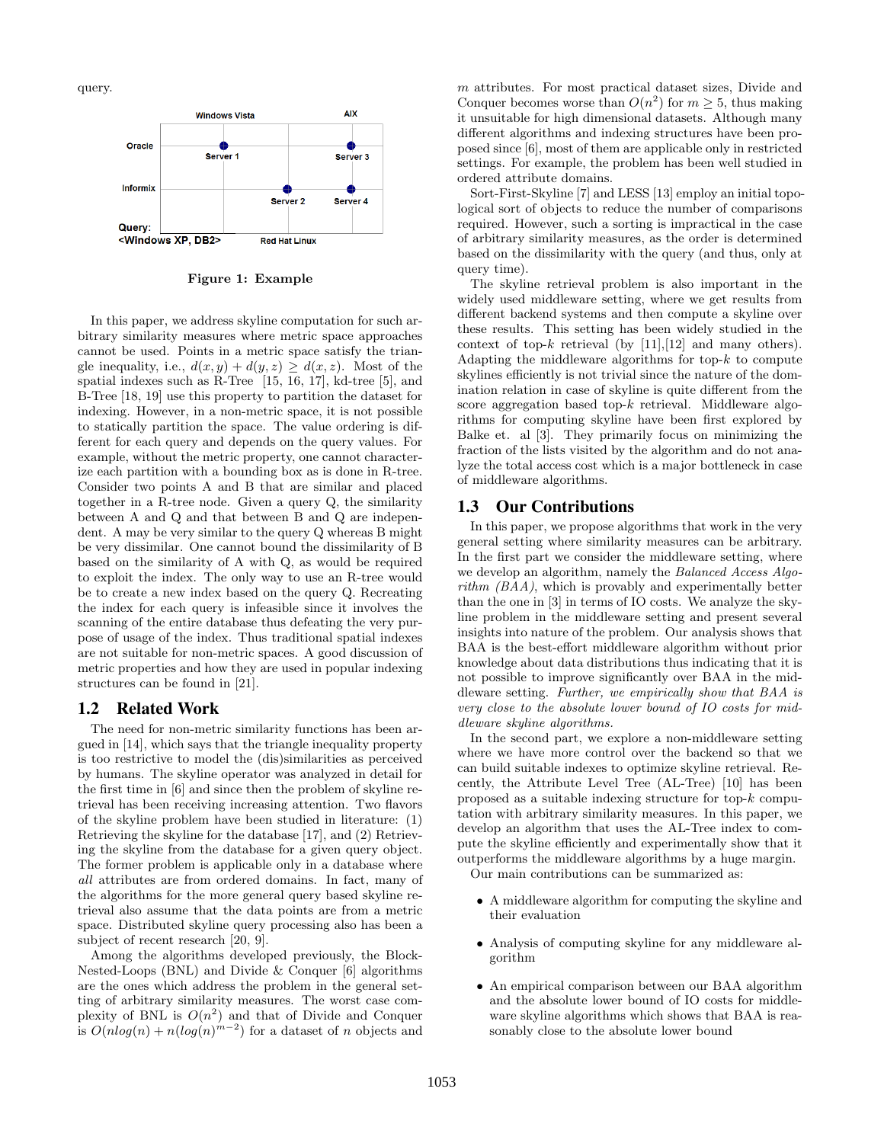query.



Figure 1: Example

In this paper, we address skyline computation for such arbitrary similarity measures where metric space approaches cannot be used. Points in a metric space satisfy the triangle inequality, i.e.,  $d(x, y) + d(y, z) \geq d(x, z)$ . Most of the spatial indexes such as R-Tree [15, 16, 17], kd-tree [5], and B-Tree [18, 19] use this property to partition the dataset for indexing. However, in a non-metric space, it is not possible to statically partition the space. The value ordering is different for each query and depends on the query values. For example, without the metric property, one cannot characterize each partition with a bounding box as is done in R-tree. Consider two points A and B that are similar and placed together in a R-tree node. Given a query Q, the similarity between A and Q and that between B and Q are independent. A may be very similar to the query Q whereas B might be very dissimilar. One cannot bound the dissimilarity of B based on the similarity of A with Q, as would be required to exploit the index. The only way to use an R-tree would be to create a new index based on the query Q. Recreating the index for each query is infeasible since it involves the scanning of the entire database thus defeating the very purpose of usage of the index. Thus traditional spatial indexes are not suitable for non-metric spaces. A good discussion of metric properties and how they are used in popular indexing structures can be found in [21].

### 1.2 Related Work

The need for non-metric similarity functions has been argued in [14], which says that the triangle inequality property is too restrictive to model the (dis)similarities as perceived by humans. The skyline operator was analyzed in detail for the first time in [6] and since then the problem of skyline retrieval has been receiving increasing attention. Two flavors of the skyline problem have been studied in literature: (1) Retrieving the skyline for the database [17], and (2) Retrieving the skyline from the database for a given query object. The former problem is applicable only in a database where all attributes are from ordered domains. In fact, many of the algorithms for the more general query based skyline retrieval also assume that the data points are from a metric space. Distributed skyline query processing also has been a subject of recent research [20, 9].

Among the algorithms developed previously, the Block-Nested-Loops (BNL) and Divide & Conquer [6] algorithms are the ones which address the problem in the general setting of arbitrary similarity measures. The worst case complexity of BNL is  $O(n^2)$  and that of Divide and Conquer is  $O(n \log(n) + n(\log(n)^{m-2})$  for a dataset of *n* objects and

m attributes. For most practical dataset sizes, Divide and Conquer becomes worse than  $O(n^2)$  for  $m \geq 5$ , thus making it unsuitable for high dimensional datasets. Although many different algorithms and indexing structures have been proposed since [6], most of them are applicable only in restricted settings. For example, the problem has been well studied in ordered attribute domains.

Sort-First-Skyline [7] and LESS [13] employ an initial topological sort of objects to reduce the number of comparisons required. However, such a sorting is impractical in the case of arbitrary similarity measures, as the order is determined based on the dissimilarity with the query (and thus, only at query time).

The skyline retrieval problem is also important in the widely used middleware setting, where we get results from different backend systems and then compute a skyline over these results. This setting has been widely studied in the context of top-k retrieval (by  $[11], [12]$  and many others). Adapting the middleware algorithms for top- $k$  to compute skylines efficiently is not trivial since the nature of the domination relation in case of skyline is quite different from the score aggregation based top- $k$  retrieval. Middleware algorithms for computing skyline have been first explored by Balke et. al [3]. They primarily focus on minimizing the fraction of the lists visited by the algorithm and do not analyze the total access cost which is a major bottleneck in case of middleware algorithms.

# 1.3 Our Contributions

In this paper, we propose algorithms that work in the very general setting where similarity measures can be arbitrary. In the first part we consider the middleware setting, where we develop an algorithm, namely the Balanced Access Algorithm (BAA), which is provably and experimentally better than the one in [3] in terms of IO costs. We analyze the skyline problem in the middleware setting and present several insights into nature of the problem. Our analysis shows that BAA is the best-effort middleware algorithm without prior knowledge about data distributions thus indicating that it is not possible to improve significantly over BAA in the middleware setting. Further, we empirically show that BAA is very close to the absolute lower bound of IO costs for middleware skyline algorithms.

In the second part, we explore a non-middleware setting where we have more control over the backend so that we can build suitable indexes to optimize skyline retrieval. Recently, the Attribute Level Tree (AL-Tree) [10] has been proposed as a suitable indexing structure for top- $k$  computation with arbitrary similarity measures. In this paper, we develop an algorithm that uses the AL-Tree index to compute the skyline efficiently and experimentally show that it outperforms the middleware algorithms by a huge margin.

Our main contributions can be summarized as:

- A middleware algorithm for computing the skyline and their evaluation
- Analysis of computing skyline for any middleware algorithm
- An empirical comparison between our BAA algorithm and the absolute lower bound of IO costs for middleware skyline algorithms which shows that BAA is reasonably close to the absolute lower bound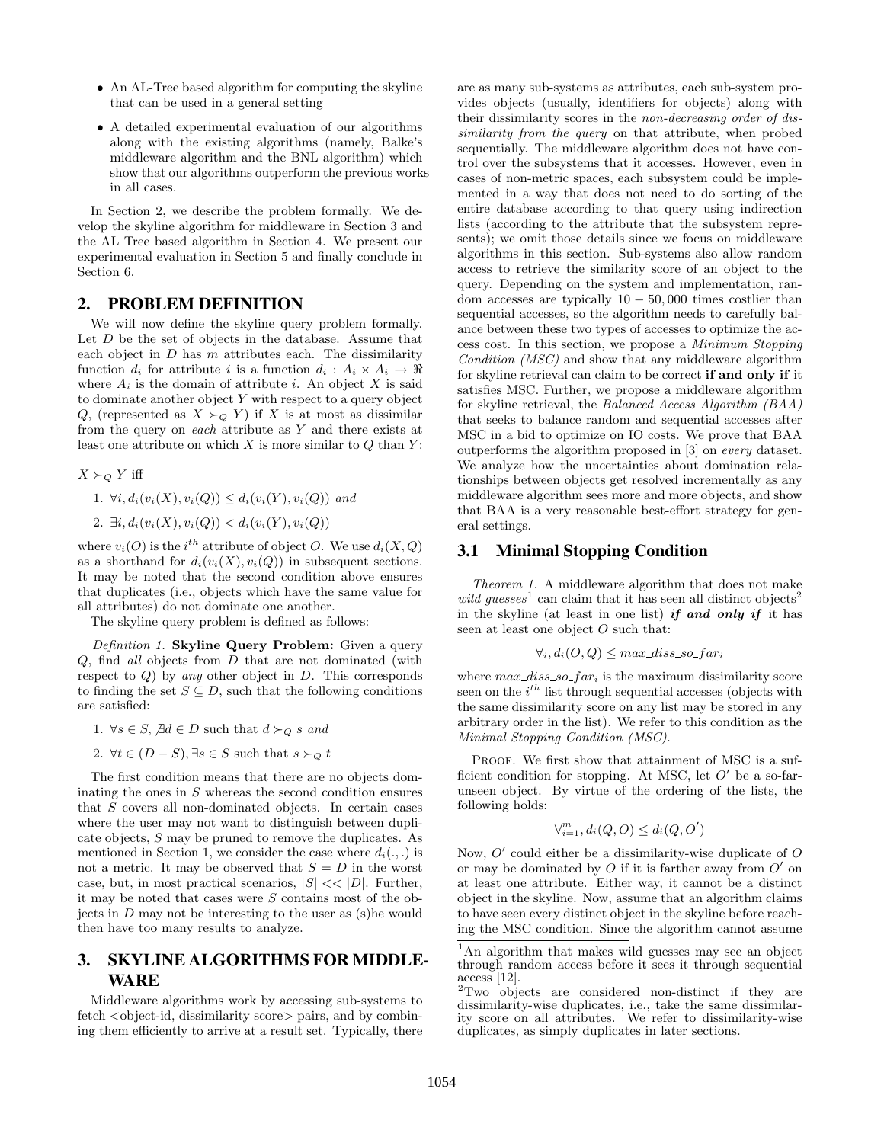- An AL-Tree based algorithm for computing the skyline that can be used in a general setting
- A detailed experimental evaluation of our algorithms along with the existing algorithms (namely, Balke's middleware algorithm and the BNL algorithm) which show that our algorithms outperform the previous works in all cases.

In Section 2, we describe the problem formally. We develop the skyline algorithm for middleware in Section 3 and the AL Tree based algorithm in Section 4. We present our experimental evaluation in Section 5 and finally conclude in Section 6.

### 2. PROBLEM DEFINITION

We will now define the skyline query problem formally. Let  $D$  be the set of objects in the database. Assume that each object in  $D$  has  $m$  attributes each. The dissimilarity function  $d_i$  for attribute i is a function  $d_i : A_i \times A_i \to \Re$ where  $A_i$  is the domain of attribute i. An object X is said to dominate another object Y with respect to a query object Q, (represented as  $X \succ o Y$ ) if X is at most as dissimilar from the query on each attribute as  $Y$  and there exists at least one attribute on which  $X$  is more similar to  $Q$  than  $Y$ :

$$
X \succ_Q Y \text{ iff}
$$
  
1.  $\forall i, d_i(v_i(X), v_i(Q)) \leq d_i(v_i(Y), v_i(Q)) \text{ and}$   
2.  $\exists i, d_i(v_i(X), v_i(Q)) < d_i(v_i(Y), v_i(Q))$ 

where  $v_i(O)$  is the i<sup>th</sup> attribute of object O. We use  $d_i(X, Q)$ as a shorthand for  $d_i(v_i(X), v_i(Q))$  in subsequent sections. It may be noted that the second condition above ensures that duplicates (i.e., objects which have the same value for all attributes) do not dominate one another.

The skyline query problem is defined as follows:

Definition 1. Skyline Query Problem: Given a query Q, find all objects from D that are not dominated (with respect to  $Q$ ) by any other object in  $D$ . This corresponds to finding the set  $S \subseteq D$ , such that the following conditions are satisfied:

- 1. ∀s ∈ S,  $\not\exists d \in D$  such that  $d \succ_Q s$  and
- 2.  $\forall t \in (D S), \exists s \in S \text{ such that } s \succ_Q t$

The first condition means that there are no objects dominating the ones in S whereas the second condition ensures that  $S$  covers all non-dominated objects. In certain cases where the user may not want to distinguish between duplicate objects, S may be pruned to remove the duplicates. As mentioned in Section 1, we consider the case where  $d_i(.,.)$  is not a metric. It may be observed that  $S = D$  in the worst case, but, in most practical scenarios,  $|S| \ll |D|$ . Further, it may be noted that cases were  $S$  contains most of the objects in D may not be interesting to the user as (s)he would then have too many results to analyze.

# 3. SKYLINE ALGORITHMS FOR MIDDLE-WARE

Middleware algorithms work by accessing sub-systems to fetch  $\langle$ object-id, dissimilarity score $\rangle$  pairs, and by combining them efficiently to arrive at a result set. Typically, there are as many sub-systems as attributes, each sub-system provides objects (usually, identifiers for objects) along with their dissimilarity scores in the non-decreasing order of dissimilarity from the query on that attribute, when probed sequentially. The middleware algorithm does not have control over the subsystems that it accesses. However, even in cases of non-metric spaces, each subsystem could be implemented in a way that does not need to do sorting of the entire database according to that query using indirection lists (according to the attribute that the subsystem represents); we omit those details since we focus on middleware algorithms in this section. Sub-systems also allow random access to retrieve the similarity score of an object to the query. Depending on the system and implementation, random accesses are typically  $10 - 50,000$  times costlier than sequential accesses, so the algorithm needs to carefully balance between these two types of accesses to optimize the access cost. In this section, we propose a Minimum Stopping Condition (MSC) and show that any middleware algorithm for skyline retrieval can claim to be correct if and only if it satisfies MSC. Further, we propose a middleware algorithm for skyline retrieval, the Balanced Access Algorithm (BAA) that seeks to balance random and sequential accesses after MSC in a bid to optimize on IO costs. We prove that BAA outperforms the algorithm proposed in [3] on every dataset. We analyze how the uncertainties about domination relationships between objects get resolved incrementally as any middleware algorithm sees more and more objects, and show that BAA is a very reasonable best-effort strategy for general settings.

### 3.1 Minimal Stopping Condition

Theorem 1. A middleware algorithm that does not make wild guesses<sup>1</sup> can claim that it has seen all distinct objects<sup>2</sup> in the skyline (at least in one list) if and only if it has seen at least one object O such that:

$$
\forall i, d_i(O, Q) \leq max\_diss\_so\_far_i
$$

where  $max\_diss\_so\_far_i$  is the maximum dissimilarity score seen on the  $i^{th}$  list through sequential accesses (objects with the same dissimilarity score on any list may be stored in any arbitrary order in the list). We refer to this condition as the Minimal Stopping Condition (MSC).

PROOF. We first show that attainment of MSC is a sufficient condition for stopping. At MSC, let  $O'$  be a so-farunseen object. By virtue of the ordering of the lists, the following holds:

$$
\forall_{i=1}^m, d_i(Q, O) \leq d_i(Q, O')
$$

Now,  $O'$  could either be a dissimilarity-wise duplicate of  $O$ or may be dominated by  $O$  if it is farther away from  $O'$  on at least one attribute. Either way, it cannot be a distinct object in the skyline. Now, assume that an algorithm claims to have seen every distinct object in the skyline before reaching the MSC condition. Since the algorithm cannot assume

<sup>&</sup>lt;sup>1</sup>An algorithm that makes wild guesses may see an object through random access before it sees it through sequential access [12].

<sup>2</sup>Two objects are considered non-distinct if they are dissimilarity-wise duplicates, i.e., take the same dissimilarity score on all attributes. We refer to dissimilarity-wise duplicates, as simply duplicates in later sections.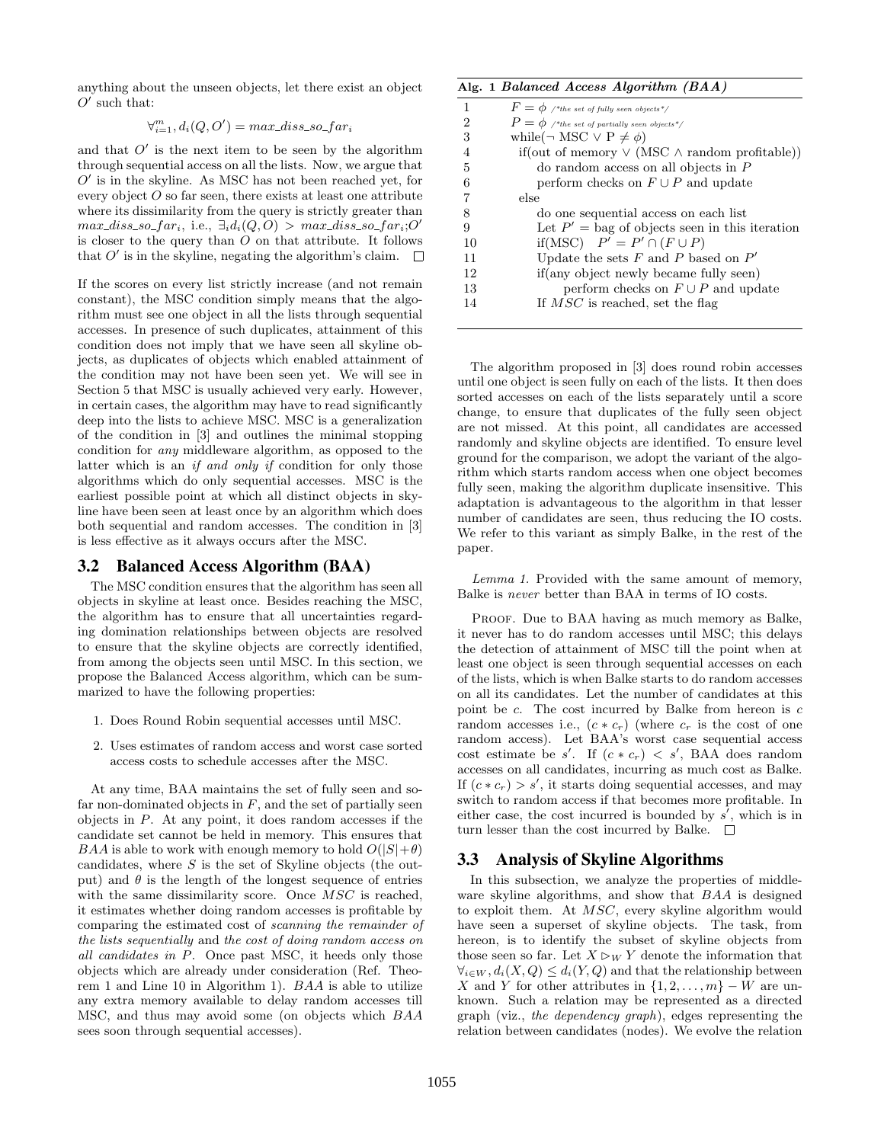anything about the unseen objects, let there exist an object  $O'$  such that:

$$
\forall_{i=1}^{m}, d_i(Q, O') = max\_diss\_so\_far_i
$$

and that  $O'$  is the next item to be seen by the algorithm through sequential access on all the lists. Now, we argue that  $O'$  is in the skyline. As MSC has not been reached yet, for every object  $O$  so far seen, there exists at least one attribute where its dissimilarity from the query is strictly greater than  $max\_diss\_so\_far_i$ , i.e.,  $\exists_i d_i(Q, O) > max\_diss\_so\_far_i$ ; O' is closer to the query than  $O$  on that attribute. It follows that  $O'$  is in the skyline, negating the algorithm's claim.

If the scores on every list strictly increase (and not remain constant), the MSC condition simply means that the algorithm must see one object in all the lists through sequential accesses. In presence of such duplicates, attainment of this condition does not imply that we have seen all skyline objects, as duplicates of objects which enabled attainment of the condition may not have been seen yet. We will see in Section 5 that MSC is usually achieved very early. However, in certain cases, the algorithm may have to read significantly deep into the lists to achieve MSC. MSC is a generalization of the condition in [3] and outlines the minimal stopping condition for any middleware algorithm, as opposed to the latter which is an *if and only if* condition for only those algorithms which do only sequential accesses. MSC is the earliest possible point at which all distinct objects in skyline have been seen at least once by an algorithm which does both sequential and random accesses. The condition in [3] is less effective as it always occurs after the MSC.

### 3.2 Balanced Access Algorithm (BAA)

The MSC condition ensures that the algorithm has seen all objects in skyline at least once. Besides reaching the MSC, the algorithm has to ensure that all uncertainties regarding domination relationships between objects are resolved to ensure that the skyline objects are correctly identified, from among the objects seen until MSC. In this section, we propose the Balanced Access algorithm, which can be summarized to have the following properties:

- 1. Does Round Robin sequential accesses until MSC.
- 2. Uses estimates of random access and worst case sorted access costs to schedule accesses after the MSC.

At any time, BAA maintains the set of fully seen and sofar non-dominated objects in  $F$ , and the set of partially seen objects in P. At any point, it does random accesses if the candidate set cannot be held in memory. This ensures that BAA is able to work with enough memory to hold  $O(|S|+\theta)$ candidates, where  $S$  is the set of Skyline objects (the output) and  $\theta$  is the length of the longest sequence of entries with the same dissimilarity score. Once MSC is reached, it estimates whether doing random accesses is profitable by comparing the estimated cost of scanning the remainder of the lists sequentially and the cost of doing random access on all candidates in P. Once past MSC, it heeds only those objects which are already under consideration (Ref. Theorem 1 and Line 10 in Algorithm 1). BAA is able to utilize any extra memory available to delay random accesses till MSC, and thus may avoid some (on objects which BAA sees soon through sequential accesses).

### Alg. 1 Balanced Access Algorithm (BAA)

|    | $F=\phi$ /*the set of fully seen objects*/                |
|----|-----------------------------------------------------------|
| 2  | $P = \phi$ /*the set of partially seen objects*/          |
| 3  | while $(\neg \text{ MSC} \lor \text{P} \neq \phi)$        |
| 4  | if(out of memory $\vee$ (MSC $\wedge$ random profitable)) |
| 5  | $\alpha$ do random access on all objects in P             |
| 6  | perform checks on $F \cup P$ and update                   |
|    | else                                                      |
| 8  | do one sequential access on each list                     |
| 9  | Let $P' =$ bag of objects seen in this iteration          |
| 10 | if(MSC) $P' = P' \cap (F \cup P)$                         |
| 11 | Update the sets F and P based on $P'$                     |
| 12 | if(any object newly became fully seen)                    |
| 13 | perform checks on $F \cup P$ and update                   |
| 14 | If MSC is reached, set the flag                           |
|    |                                                           |

The algorithm proposed in [3] does round robin accesses until one object is seen fully on each of the lists. It then does sorted accesses on each of the lists separately until a score change, to ensure that duplicates of the fully seen object are not missed. At this point, all candidates are accessed randomly and skyline objects are identified. To ensure level ground for the comparison, we adopt the variant of the algorithm which starts random access when one object becomes fully seen, making the algorithm duplicate insensitive. This adaptation is advantageous to the algorithm in that lesser number of candidates are seen, thus reducing the IO costs. We refer to this variant as simply Balke, in the rest of the paper.

Lemma 1. Provided with the same amount of memory, Balke is never better than BAA in terms of IO costs.

PROOF. Due to BAA having as much memory as Balke, it never has to do random accesses until MSC; this delays the detection of attainment of MSC till the point when at least one object is seen through sequential accesses on each of the lists, which is when Balke starts to do random accesses on all its candidates. Let the number of candidates at this point be  $c$ . The cost incurred by Balke from hereon is  $c$ random accesses i.e.,  $(c * c_r)$  (where  $c_r$  is the cost of one random access). Let BAA's worst case sequential access cost estimate be s'. If  $(c * c_r) < s'$ , BAA does random accesses on all candidates, incurring as much cost as Balke. If  $(c * c_r) > s'$ , it starts doing sequential accesses, and may switch to random access if that becomes more profitable. In either case, the cost incurred is bounded by  $s'$ , which is in turn lesser than the cost incurred by Balke.  $\Box$ 

# 3.3 Analysis of Skyline Algorithms

In this subsection, we analyze the properties of middleware skyline algorithms, and show that BAA is designed to exploit them. At MSC, every skyline algorithm would have seen a superset of skyline objects. The task, from hereon, is to identify the subset of skyline objects from those seen so far. Let  $X \triangleright_W Y$  denote the information that  $\forall_{i\in W}, d_i(X, Q) \leq d_i(Y, Q)$  and that the relationship between X and Y for other attributes in  $\{1, 2, \ldots, m\} - W$  are unknown. Such a relation may be represented as a directed graph (viz., the dependency graph), edges representing the relation between candidates (nodes). We evolve the relation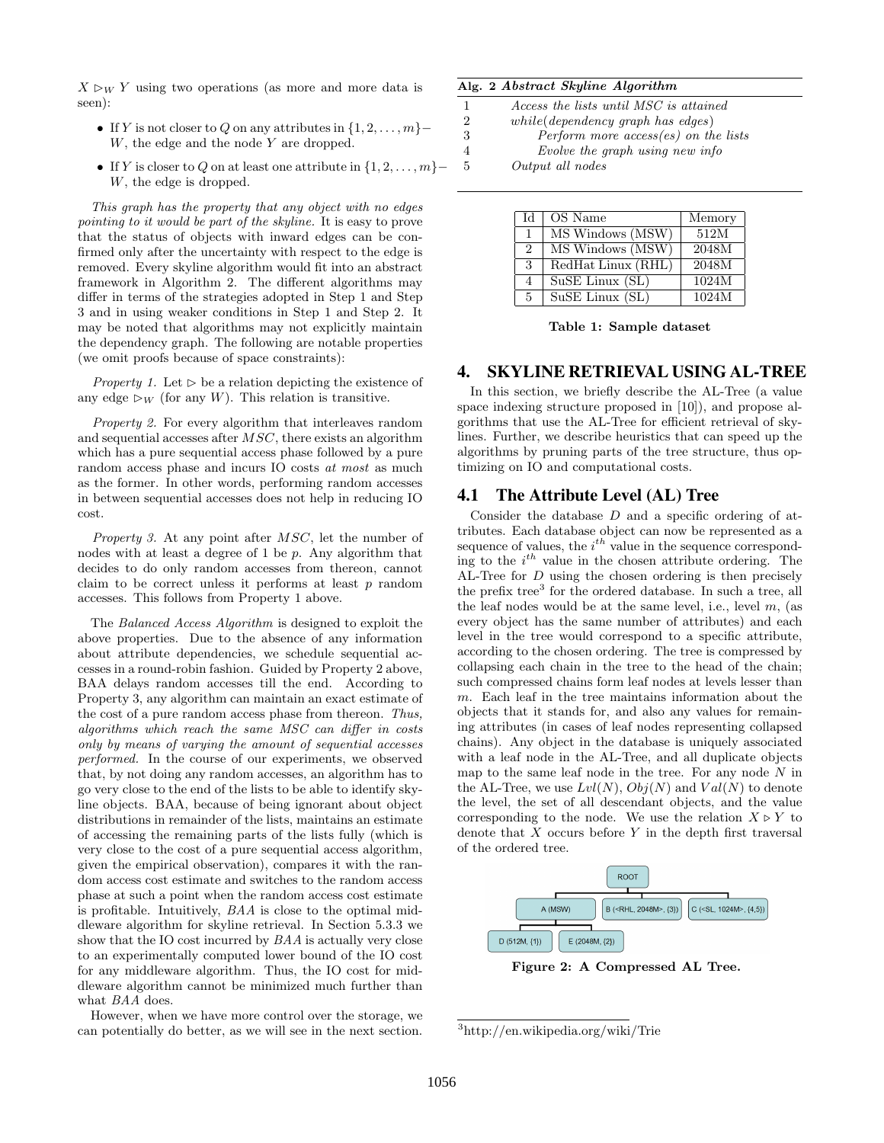$X \triangleright_W Y$  using two operations (as more and more data is seen):

- If Y is not closer to Q on any attributes in  $\{1, 2, \ldots, m\}$ W, the edge and the node Y are dropped.
- If Y is closer to Q on at least one attribute in  $\{1, 2, \ldots, m\}$ W, the edge is dropped.

This graph has the property that any object with no edges pointing to it would be part of the skyline. It is easy to prove that the status of objects with inward edges can be confirmed only after the uncertainty with respect to the edge is removed. Every skyline algorithm would fit into an abstract framework in Algorithm 2. The different algorithms may differ in terms of the strategies adopted in Step 1 and Step 3 and in using weaker conditions in Step 1 and Step 2. It may be noted that algorithms may not explicitly maintain the dependency graph. The following are notable properties (we omit proofs because of space constraints):

Property 1. Let  $\triangleright$  be a relation depicting the existence of any edge  $\triangleright_W$  (for any W). This relation is transitive.

Property 2. For every algorithm that interleaves random and sequential accesses after MSC, there exists an algorithm which has a pure sequential access phase followed by a pure random access phase and incurs IO costs at most as much as the former. In other words, performing random accesses in between sequential accesses does not help in reducing IO cost.

Property 3. At any point after MSC, let the number of nodes with at least a degree of 1 be p. Any algorithm that decides to do only random accesses from thereon, cannot claim to be correct unless it performs at least p random accesses. This follows from Property 1 above.

The Balanced Access Algorithm is designed to exploit the above properties. Due to the absence of any information about attribute dependencies, we schedule sequential accesses in a round-robin fashion. Guided by Property 2 above, BAA delays random accesses till the end. According to Property 3, any algorithm can maintain an exact estimate of the cost of a pure random access phase from thereon. Thus, algorithms which reach the same MSC can differ in costs only by means of varying the amount of sequential accesses performed. In the course of our experiments, we observed that, by not doing any random accesses, an algorithm has to go very close to the end of the lists to be able to identify skyline objects. BAA, because of being ignorant about object distributions in remainder of the lists, maintains an estimate of accessing the remaining parts of the lists fully (which is very close to the cost of a pure sequential access algorithm, given the empirical observation), compares it with the random access cost estimate and switches to the random access phase at such a point when the random access cost estimate is profitable. Intuitively, BAA is close to the optimal middleware algorithm for skyline retrieval. In Section 5.3.3 we show that the IO cost incurred by BAA is actually very close to an experimentally computed lower bound of the IO cost for any middleware algorithm. Thus, the IO cost for middleware algorithm cannot be minimized much further than what BAA does.

However, when we have more control over the storage, we can potentially do better, as we will see in the next section.

### Alg. 2 Abstract Skyline Algorithm

- 1 Access the lists until MSC is attained
- 2 while(dependency graph has edges)
- 3 Perform more access(es) on the lists
- 4 Evolve the graph using new info
- 5 Output all nodes

| ЪI                          | OS Name            | Memory             |
|-----------------------------|--------------------|--------------------|
| 1                           | MS Windows (MSW)   | 512M               |
| $\mathcal{D}_{\mathcal{L}}$ | MS Windows (MSW)   | 2048M              |
| 3                           | RedHat Linux (RHL) | 2048M              |
| 4                           | SuSE Linux (SL)    | 1024M              |
| 5                           | SuSE Linux (SL)    | $\overline{10}24M$ |

Table 1: Sample dataset

# 4. SKYLINE RETRIEVAL USING AL-TREE

In this section, we briefly describe the AL-Tree (a value space indexing structure proposed in [10]), and propose algorithms that use the AL-Tree for efficient retrieval of skylines. Further, we describe heuristics that can speed up the algorithms by pruning parts of the tree structure, thus optimizing on IO and computational costs.

### 4.1 The Attribute Level (AL) Tree

Consider the database D and a specific ordering of attributes. Each database object can now be represented as a sequence of values, the  $i^{th}$  value in the sequence corresponding to the  $i^{th}$  value in the chosen attribute ordering. The AL-Tree for D using the chosen ordering is then precisely the prefix tree<sup>3</sup> for the ordered database. In such a tree, all the leaf nodes would be at the same level, i.e., level  $m$ , (as every object has the same number of attributes) and each level in the tree would correspond to a specific attribute, according to the chosen ordering. The tree is compressed by collapsing each chain in the tree to the head of the chain; such compressed chains form leaf nodes at levels lesser than m. Each leaf in the tree maintains information about the objects that it stands for, and also any values for remaining attributes (in cases of leaf nodes representing collapsed chains). Any object in the database is uniquely associated with a leaf node in the AL-Tree, and all duplicate objects map to the same leaf node in the tree. For any node  $N$  in the AL-Tree, we use  $Lvl(N)$ ,  $Obj(N)$  and  $Val(N)$  to denote the level, the set of all descendant objects, and the value corresponding to the node. We use the relation  $X \triangleright Y$  to denote that  $X$  occurs before  $Y$  in the depth first traversal of the ordered tree.



Figure 2: A Compressed AL Tree.

<sup>3</sup>http://en.wikipedia.org/wiki/Trie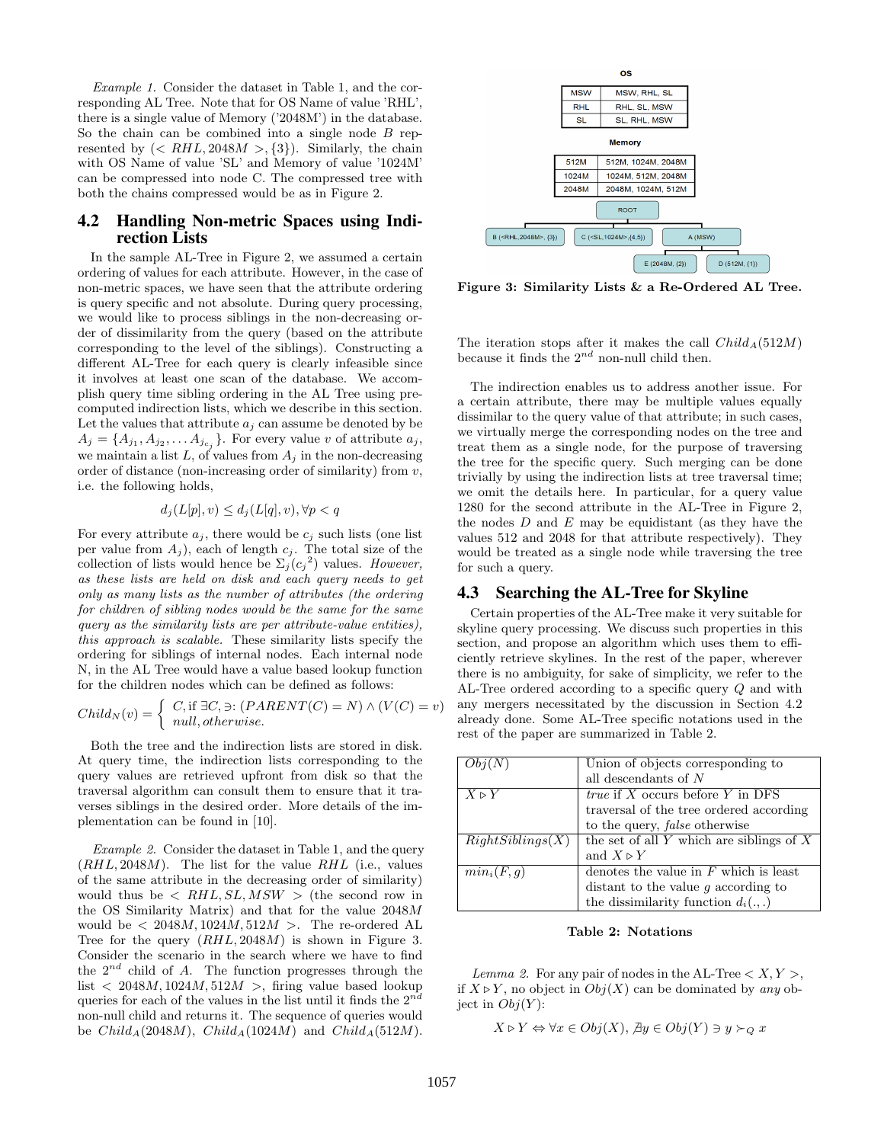Example 1. Consider the dataset in Table 1, and the corresponding AL Tree. Note that for OS Name of value 'RHL', there is a single value of Memory ('2048M') in the database. So the chain can be combined into a single node  $B$  represented by  $( $RHL$ , 2048M >, {3})$ . Similarly, the chain with OS Name of value 'SL' and Memory of value '1024M' can be compressed into node C. The compressed tree with both the chains compressed would be as in Figure 2.

# 4.2 Handling Non-metric Spaces using Indirection Lists

In the sample AL-Tree in Figure 2, we assumed a certain ordering of values for each attribute. However, in the case of non-metric spaces, we have seen that the attribute ordering is query specific and not absolute. During query processing, we would like to process siblings in the non-decreasing order of dissimilarity from the query (based on the attribute corresponding to the level of the siblings). Constructing a different AL-Tree for each query is clearly infeasible since it involves at least one scan of the database. We accomplish query time sibling ordering in the AL Tree using precomputed indirection lists, which we describe in this section. Let the values that attribute  $a_j$  can assume be denoted by be  $A_j = \{A_{j_1}, A_{j_2}, \ldots A_{j_{c_j}}\}$ . For every value v of attribute  $a_j$ , we maintain a list  $L$ , of values from  $A_i$  in the non-decreasing order of distance (non-increasing order of similarity) from  $v$ , i.e. the following holds,

$$
d_j(L[p], v) \le d_j(L[q], v), \forall p < q
$$

For every attribute  $a_j$ , there would be  $c_j$  such lists (one list per value from  $A_j$ ), each of length  $c_j$ . The total size of the collection of lists would hence be  $\Sigma_j(c_j^2)$  values. However, as these lists are held on disk and each query needs to get only as many lists as the number of attributes (the ordering for children of sibling nodes would be the same for the same query as the similarity lists are per attribute-value entities), this approach is scalable. These similarity lists specify the ordering for siblings of internal nodes. Each internal node N, in the AL Tree would have a value based lookup function for the children nodes which can be defined as follows:

$$
Child_N(v) = \begin{cases} C, \text{if } \exists C, \exists: (PARENT(C) = N) \land (V(C) = v) \\ null, otherwise. \end{cases}
$$

Both the tree and the indirection lists are stored in disk. At query time, the indirection lists corresponding to the query values are retrieved upfront from disk so that the traversal algorithm can consult them to ensure that it traverses siblings in the desired order. More details of the implementation can be found in [10].

Example 2. Consider the dataset in Table 1, and the query  $(RHL, 2048M)$ . The list for the value  $RHL$  (i.e., values of the same attribute in the decreasing order of similarity) would thus be  $\langle RH L, SL, MSW \rangle$  (the second row in the OS Similarity Matrix) and that for the value 2048M would be  $\langle 2048M, 1024M, 512M \rangle$ . The re-ordered AL Tree for the query (RHL, 2048M) is shown in Figure 3. Consider the scenario in the search where we have to find the  $2^{nd}$  child of A. The function progresses through the list  $\langle 2048M, 1024M, 512M \rangle$ , firing value based lookup queries for each of the values in the list until it finds the  $2^{n}$ non-null child and returns it. The sequence of queries would be  $Child_A(2048M)$ ,  $Child_A(1024M)$  and  $Child_A(512M)$ .



Figure 3: Similarity Lists & a Re-Ordered AL Tree.

The iteration stops after it makes the call  $Child_A(512M)$ because it finds the  $2^{nd}$  non-null child then.

The indirection enables us to address another issue. For a certain attribute, there may be multiple values equally dissimilar to the query value of that attribute; in such cases, we virtually merge the corresponding nodes on the tree and treat them as a single node, for the purpose of traversing the tree for the specific query. Such merging can be done trivially by using the indirection lists at tree traversal time; we omit the details here. In particular, for a query value 1280 for the second attribute in the AL-Tree in Figure 2, the nodes  $D$  and  $E$  may be equidistant (as they have the values 512 and 2048 for that attribute respectively). They would be treated as a single node while traversing the tree for such a query.

# 4.3 Searching the AL-Tree for Skyline

Certain properties of the AL-Tree make it very suitable for skyline query processing. We discuss such properties in this section, and propose an algorithm which uses them to efficiently retrieve skylines. In the rest of the paper, wherever there is no ambiguity, for sake of simplicity, we refer to the AL-Tree ordered according to a specific query Q and with any mergers necessitated by the discussion in Section 4.2 already done. Some AL-Tree specific notations used in the rest of the paper are summarized in Table 2.

|                      | Union of objects corresponding to          |
|----------------------|--------------------------------------------|
|                      | all descendants of $N$                     |
| $X \triangleright Y$ | <i>true</i> if X occurs before Y in DFS    |
|                      | traversal of the tree ordered according    |
|                      | to the query, <i>false</i> otherwise       |
| RightSibling(S)      | the set of all Y which are siblings of $X$ |
|                      | and $X \triangleright Y$                   |
| $min_i(F, q)$        | denotes the value in $F$ which is least    |
|                      | distant to the value $g$ according to      |
|                      | the dissimilarity function $d_i(.,.)$      |

#### Table 2: Notations

Lemma 2. For any pair of nodes in the AL-Tree  $\langle X, Y \rangle$ , if  $X \triangleright Y$ , no object in  $Obj(X)$  can be dominated by any object in  $Obj(Y)$ :

$$
X \triangleright Y \Leftrightarrow \forall x \in Obj(X), \, \exists y \in Obj(Y) \ni y \succ_Q x
$$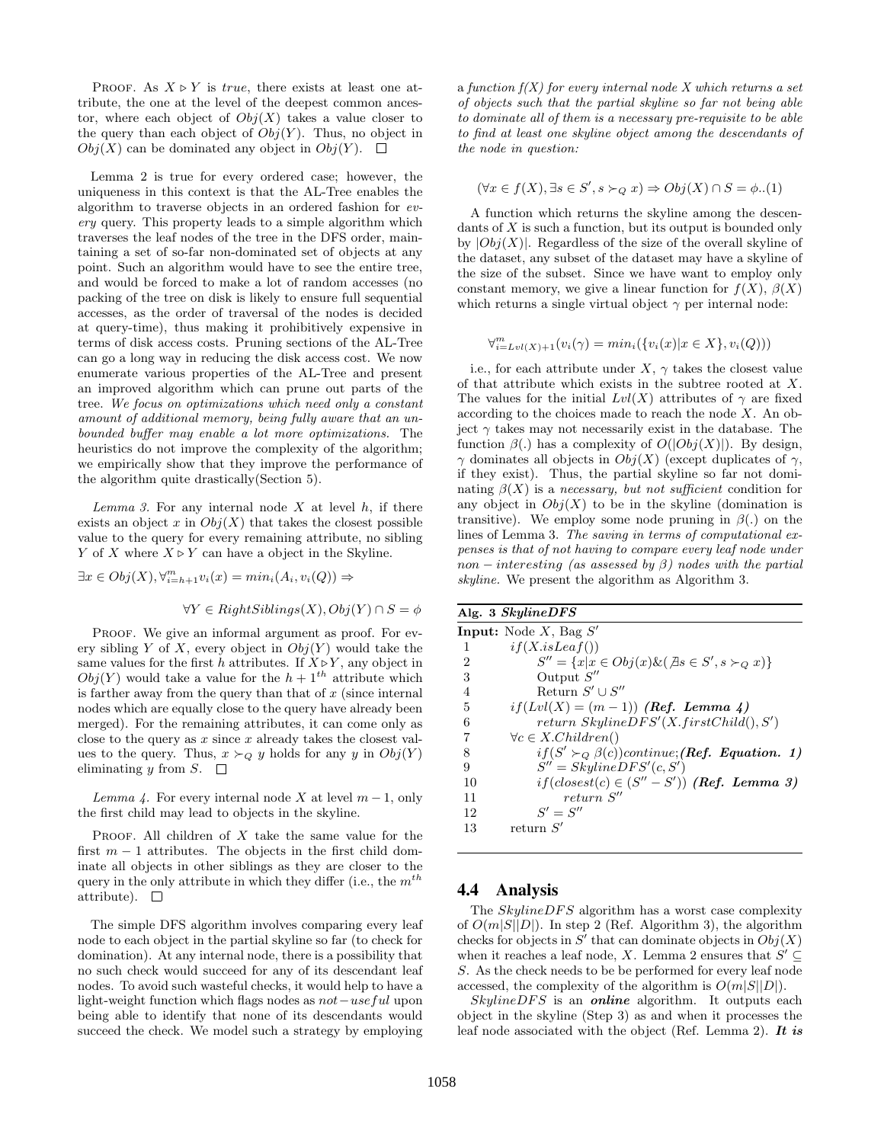PROOF. As  $X \triangleright Y$  is *true*, there exists at least one attribute, the one at the level of the deepest common ancestor, where each object of  $Obj(X)$  takes a value closer to the query than each object of  $Obj(Y)$ . Thus, no object in  $Obj(X)$  can be dominated any object in  $Obj(Y)$ .  $\Box$ 

Lemma 2 is true for every ordered case; however, the uniqueness in this context is that the AL-Tree enables the algorithm to traverse objects in an ordered fashion for every query. This property leads to a simple algorithm which traverses the leaf nodes of the tree in the DFS order, maintaining a set of so-far non-dominated set of objects at any point. Such an algorithm would have to see the entire tree, and would be forced to make a lot of random accesses (no packing of the tree on disk is likely to ensure full sequential accesses, as the order of traversal of the nodes is decided at query-time), thus making it prohibitively expensive in terms of disk access costs. Pruning sections of the AL-Tree can go a long way in reducing the disk access cost. We now enumerate various properties of the AL-Tree and present an improved algorithm which can prune out parts of the tree. We focus on optimizations which need only a constant amount of additional memory, being fully aware that an unbounded buffer may enable a lot more optimizations. The heuristics do not improve the complexity of the algorithm; we empirically show that they improve the performance of the algorithm quite drastically(Section 5).

Lemma 3. For any internal node  $X$  at level  $h$ , if there exists an object x in  $Obj(X)$  that takes the closest possible value to the query for every remaining attribute, no sibling Y of X where  $X \triangleright Y$  can have a object in the Skyline.

 $\exists x \in Obj(X), \forall_{i=h+1}^{m} v_i(x) = min_i(A_i, v_i(Q)) \Rightarrow$  $\forall Y \in RightSibling(S,Obj(Y) \cap S = \phi$ 

PROOF. We give an informal argument as proof. For every sibling Y of X, every object in  $Obj(Y)$  would take the same values for the first h attributes. If  $X \triangleright Y$ , any object in  $Obj(Y)$  would take a value for the  $h + 1<sup>th</sup>$  attribute which is farther away from the query than that of  $x$  (since internal nodes which are equally close to the query have already been merged). For the remaining attributes, it can come only as close to the query as  $x$  since  $x$  already takes the closest values to the query. Thus,  $x \succ_Q y$  holds for any y in  $Obj(Y)$ eliminating y from  $S$ .  $\square$ 

Lemma 4. For every internal node X at level  $m-1$ , only the first child may lead to objects in the skyline.

PROOF. All children of  $X$  take the same value for the first  $m - 1$  attributes. The objects in the first child dominate all objects in other siblings as they are closer to the query in the only attribute in which they differ (i.e., the  $m^{th}$ attribute).  $\Box$ 

The simple DFS algorithm involves comparing every leaf node to each object in the partial skyline so far (to check for domination). At any internal node, there is a possibility that no such check would succeed for any of its descendant leaf nodes. To avoid such wasteful checks, it would help to have a light-weight function which flags nodes as not−useful upon being able to identify that none of its descendants would succeed the check. We model such a strategy by employing a function  $f(X)$  for every internal node X which returns a set of objects such that the partial skyline so far not being able to dominate all of them is a necessary pre-requisite to be able to find at least one skyline object among the descendants of the node in question:

$$
(\forall x \in f(X), \exists s \in S', s \succ_Q x) \Rightarrow Obj(X) \cap S = \phi..(1)
$$

A function which returns the skyline among the descendants of  $X$  is such a function, but its output is bounded only by  $|Obj(X)|$ . Regardless of the size of the overall skyline of the dataset, any subset of the dataset may have a skyline of the size of the subset. Since we have want to employ only constant memory, we give a linear function for  $f(X)$ ,  $\beta(X)$ which returns a single virtual object  $\gamma$  per internal node:

$$
\forall_{i=Lvl(X)+1}^{m}(v_i(\gamma)=min_i(\{v_i(x)|x\in X\},v_i(Q)))
$$

i.e., for each attribute under X,  $\gamma$  takes the closest value of that attribute which exists in the subtree rooted at X. The values for the initial  $Lvl(X)$  attributes of  $\gamma$  are fixed according to the choices made to reach the node X. An object  $\gamma$  takes may not necessarily exist in the database. The function  $\beta(.)$  has a complexity of  $O(|Obj(X)|)$ . By design,  $\gamma$  dominates all objects in  $Obj(X)$  (except duplicates of  $\gamma$ , if they exist). Thus, the partial skyline so far not dominating  $\beta(X)$  is a necessary, but not sufficient condition for any object in  $Obj(X)$  to be in the skyline (domination is transitive). We employ some node pruning in  $\beta(.)$  on the lines of Lemma 3. The saving in terms of computational expenses is that of not having to compare every leaf node under non – interesting (as assessed by  $\beta$ ) nodes with the partial skyline. We present the algorithm as Algorithm 3.

| АІg. 3 Экуипе Ог Э |                                                                   |  |  |
|--------------------|-------------------------------------------------------------------|--|--|
|                    | <b>Input:</b> Node $X$ , Bag $S'$                                 |  |  |
| 1                  | if(X.isLeaf())                                                    |  |  |
| $\overline{2}$     | $S'' = \{x   x \in Obj(x) \& (\nexists s \in S', s \succ_Q x)\}\$ |  |  |
| 3                  | Output $S''$                                                      |  |  |
| 4                  | Return $S' \cup S''$                                              |  |  |
| 5                  | $if(Lvl(X) = (m-1))$ (Ref. Lemma 4)                               |  |  |
| 6                  | return $SkylineDFS'(X.firstChild(), S')$                          |  |  |
| 7                  | $\forall c \in X. Children()$                                     |  |  |
| 8                  | $if(S' \succ_O \beta(c)) continue$ ; (Ref. Equation. 1)           |  |  |
| 9                  | $S'' = SkulineDFS'(c, S')$                                        |  |  |
| 10                 | $if(closes t(c) \in (S'' - S'))$ (Ref. Lemma 3)                   |  |  |
| 11                 | return S''                                                        |  |  |
| 12                 | $S' = S''$                                                        |  |  |
| 13                 | return $S'$                                                       |  |  |
|                    |                                                                   |  |  |

# 4.4 Analysis

 $\overline{a}$   $\overline{a}$   $\overline{b}$ 

The  $SkylineDFS$  algorithm has a worst case complexity of  $O(m|S||D|)$ . In step 2 (Ref. Algorithm 3), the algorithm checks for objects in  $S'$  that can dominate objects in  $Obj(X)$ when it reaches a leaf node, X. Lemma 2 ensures that  $S' \subseteq$ S. As the check needs to be be performed for every leaf node accessed, the complexity of the algorithm is  $O(m|S||D|)$ .

 $SkylineDFS$  is an *online* algorithm. It outputs each object in the skyline (Step 3) as and when it processes the leaf node associated with the object (Ref. Lemma 2). It is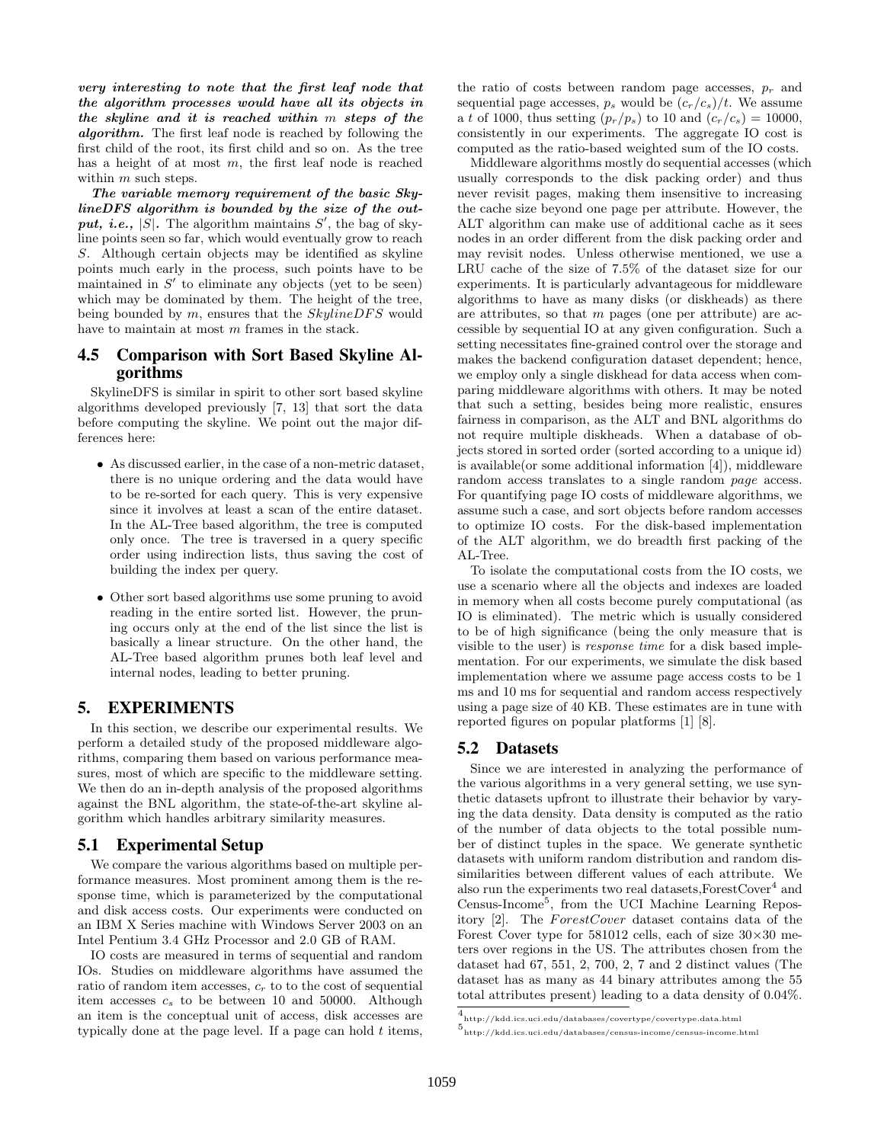very interesting to note that the first leaf node that the algorithm processes would have all its objects in the skyline and it is reached within m steps of the algorithm. The first leaf node is reached by following the first child of the root, its first child and so on. As the tree has a height of at most  $m$ , the first leaf node is reached within  $m$  such steps.

The variable memory requirement of the basic SkylineDFS algorithm is bounded by the size of the output, i.e.,  $|S|$ . The algorithm maintains  $S'$ , the bag of skyline points seen so far, which would eventually grow to reach S. Although certain objects may be identified as skyline points much early in the process, such points have to be maintained in  $S'$  to eliminate any objects (yet to be seen) which may be dominated by them. The height of the tree, being bounded by  $m$ , ensures that the  $SkylineDFS$  would have to maintain at most m frames in the stack.

# 4.5 Comparison with Sort Based Skyline Algorithms

SkylineDFS is similar in spirit to other sort based skyline algorithms developed previously [7, 13] that sort the data before computing the skyline. We point out the major differences here:

- As discussed earlier, in the case of a non-metric dataset, there is no unique ordering and the data would have to be re-sorted for each query. This is very expensive since it involves at least a scan of the entire dataset. In the AL-Tree based algorithm, the tree is computed only once. The tree is traversed in a query specific order using indirection lists, thus saving the cost of building the index per query.
- Other sort based algorithms use some pruning to avoid reading in the entire sorted list. However, the pruning occurs only at the end of the list since the list is basically a linear structure. On the other hand, the AL-Tree based algorithm prunes both leaf level and internal nodes, leading to better pruning.

# 5. EXPERIMENTS

In this section, we describe our experimental results. We perform a detailed study of the proposed middleware algorithms, comparing them based on various performance measures, most of which are specific to the middleware setting. We then do an in-depth analysis of the proposed algorithms against the BNL algorithm, the state-of-the-art skyline algorithm which handles arbitrary similarity measures.

# 5.1 Experimental Setup

We compare the various algorithms based on multiple performance measures. Most prominent among them is the response time, which is parameterized by the computational and disk access costs. Our experiments were conducted on an IBM X Series machine with Windows Server 2003 on an Intel Pentium 3.4 GHz Processor and 2.0 GB of RAM.

IO costs are measured in terms of sequential and random IOs. Studies on middleware algorithms have assumed the ratio of random item accesses,  $c_r$  to to the cost of sequential item accesses  $c_s$  to be between 10 and 50000. Although an item is the conceptual unit of access, disk accesses are typically done at the page level. If a page can hold  $t$  items, the ratio of costs between random page accesses,  $p_r$  and sequential page accesses,  $p_s$  would be  $(c_r/c_s)/t$ . We assume a t of 1000, thus setting  $(p_r/p_s)$  to 10 and  $(c_r/c_s) = 10000$ , consistently in our experiments. The aggregate IO cost is computed as the ratio-based weighted sum of the IO costs.

Middleware algorithms mostly do sequential accesses (which usually corresponds to the disk packing order) and thus never revisit pages, making them insensitive to increasing the cache size beyond one page per attribute. However, the ALT algorithm can make use of additional cache as it sees nodes in an order different from the disk packing order and may revisit nodes. Unless otherwise mentioned, we use a LRU cache of the size of 7.5% of the dataset size for our experiments. It is particularly advantageous for middleware algorithms to have as many disks (or diskheads) as there are attributes, so that m pages (one per attribute) are accessible by sequential IO at any given configuration. Such a setting necessitates fine-grained control over the storage and makes the backend configuration dataset dependent; hence, we employ only a single diskhead for data access when comparing middleware algorithms with others. It may be noted that such a setting, besides being more realistic, ensures fairness in comparison, as the ALT and BNL algorithms do not require multiple diskheads. When a database of objects stored in sorted order (sorted according to a unique id) is available(or some additional information [4]), middleware random access translates to a single random page access. For quantifying page IO costs of middleware algorithms, we assume such a case, and sort objects before random accesses to optimize IO costs. For the disk-based implementation of the ALT algorithm, we do breadth first packing of the AL-Tree.

To isolate the computational costs from the IO costs, we use a scenario where all the objects and indexes are loaded in memory when all costs become purely computational (as IO is eliminated). The metric which is usually considered to be of high significance (being the only measure that is visible to the user) is response time for a disk based implementation. For our experiments, we simulate the disk based implementation where we assume page access costs to be 1 ms and 10 ms for sequential and random access respectively using a page size of 40 KB. These estimates are in tune with reported figures on popular platforms [1] [8].

# 5.2 Datasets

Since we are interested in analyzing the performance of the various algorithms in a very general setting, we use synthetic datasets upfront to illustrate their behavior by varying the data density. Data density is computed as the ratio of the number of data objects to the total possible number of distinct tuples in the space. We generate synthetic datasets with uniform random distribution and random dissimilarities between different values of each attribute. We also run the experiments two real datasets, Forest Cover<sup>4</sup> and Census-Income<sup>5</sup> , from the UCI Machine Learning Repository  $[2]$ . The ForestCover dataset contains data of the Forest Cover type for  $581012$  cells, each of size  $30\times30$  meters over regions in the US. The attributes chosen from the dataset had 67, 551, 2, 700, 2, 7 and 2 distinct values (The dataset has as many as 44 binary attributes among the 55 total attributes present) leading to a data density of 0.04%.

<sup>4</sup> http://kdd.ics.uci.edu/databases/covertype/covertype.data.html

<sup>5</sup> http://kdd.ics.uci.edu/databases/census-income/census-income.html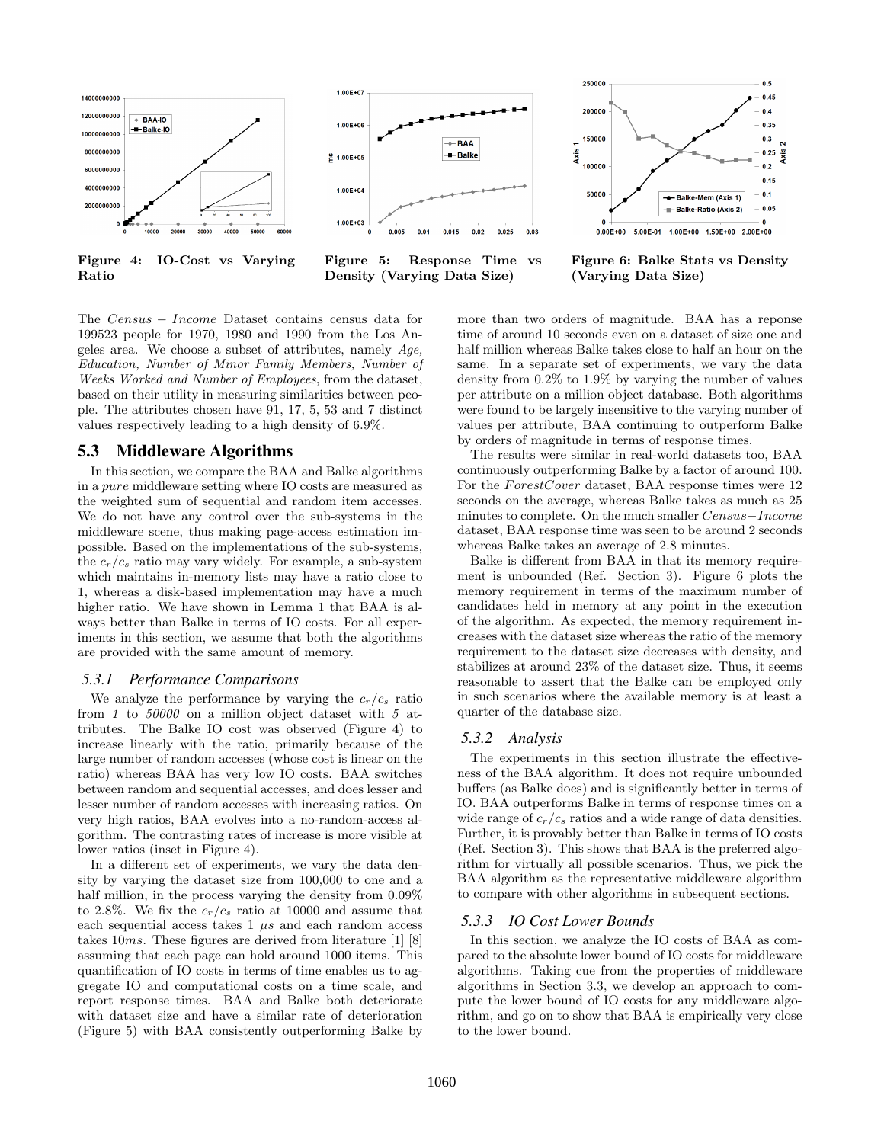![](_page_8_Figure_0.jpeg)

Figure 4: IO-Cost vs Varying Ratio

![](_page_8_Figure_2.jpeg)

Figure 5: Response Time vs Density (Varying Data Size)

![](_page_8_Figure_4.jpeg)

Figure 6: Balke Stats vs Density (Varying Data Size)

The Census − Income Dataset contains census data for 199523 people for 1970, 1980 and 1990 from the Los Angeles area. We choose a subset of attributes, namely Age, Education, Number of Minor Family Members, Number of Weeks Worked and Number of Employees, from the dataset, based on their utility in measuring similarities between people. The attributes chosen have 91, 17, 5, 53 and 7 distinct values respectively leading to a high density of 6.9%.

# 5.3 Middleware Algorithms

In this section, we compare the BAA and Balke algorithms in a pure middleware setting where IO costs are measured as the weighted sum of sequential and random item accesses. We do not have any control over the sub-systems in the middleware scene, thus making page-access estimation impossible. Based on the implementations of the sub-systems, the  $c_r/c_s$  ratio may vary widely. For example, a sub-system which maintains in-memory lists may have a ratio close to 1, whereas a disk-based implementation may have a much higher ratio. We have shown in Lemma 1 that BAA is always better than Balke in terms of IO costs. For all experiments in this section, we assume that both the algorithms are provided with the same amount of memory.

### *5.3.1 Performance Comparisons*

We analyze the performance by varying the  $c_r/c_s$  ratio from 1 to 50000 on a million object dataset with 5 attributes. The Balke IO cost was observed (Figure 4) to increase linearly with the ratio, primarily because of the large number of random accesses (whose cost is linear on the ratio) whereas BAA has very low IO costs. BAA switches between random and sequential accesses, and does lesser and lesser number of random accesses with increasing ratios. On very high ratios, BAA evolves into a no-random-access algorithm. The contrasting rates of increase is more visible at lower ratios (inset in Figure 4).

In a different set of experiments, we vary the data density by varying the dataset size from 100,000 to one and a half million, in the process varying the density from  $0.09\%$ to 2.8%. We fix the  $c_r/c_s$  ratio at 10000 and assume that each sequential access takes  $1 \mu s$  and each random access takes 10ms. These figures are derived from literature [1] [8] assuming that each page can hold around 1000 items. This quantification of IO costs in terms of time enables us to aggregate IO and computational costs on a time scale, and report response times. BAA and Balke both deteriorate with dataset size and have a similar rate of deterioration (Figure 5) with BAA consistently outperforming Balke by more than two orders of magnitude. BAA has a reponse time of around 10 seconds even on a dataset of size one and half million whereas Balke takes close to half an hour on the same. In a separate set of experiments, we vary the data density from 0.2% to 1.9% by varying the number of values per attribute on a million object database. Both algorithms were found to be largely insensitive to the varying number of values per attribute, BAA continuing to outperform Balke by orders of magnitude in terms of response times.

The results were similar in real-world datasets too, BAA continuously outperforming Balke by a factor of around 100. For the ForestCover dataset, BAA response times were 12 seconds on the average, whereas Balke takes as much as 25 minutes to complete. On the much smaller Census−Income dataset, BAA response time was seen to be around 2 seconds whereas Balke takes an average of 2.8 minutes.

Balke is different from BAA in that its memory requirement is unbounded (Ref. Section 3). Figure 6 plots the memory requirement in terms of the maximum number of candidates held in memory at any point in the execution of the algorithm. As expected, the memory requirement increases with the dataset size whereas the ratio of the memory requirement to the dataset size decreases with density, and stabilizes at around 23% of the dataset size. Thus, it seems reasonable to assert that the Balke can be employed only in such scenarios where the available memory is at least a quarter of the database size.

### *5.3.2 Analysis*

The experiments in this section illustrate the effectiveness of the BAA algorithm. It does not require unbounded buffers (as Balke does) and is significantly better in terms of IO. BAA outperforms Balke in terms of response times on a wide range of  $c_r/c_s$  ratios and a wide range of data densities. Further, it is provably better than Balke in terms of IO costs (Ref. Section 3). This shows that BAA is the preferred algorithm for virtually all possible scenarios. Thus, we pick the BAA algorithm as the representative middleware algorithm to compare with other algorithms in subsequent sections.

### *5.3.3 IO Cost Lower Bounds*

In this section, we analyze the IO costs of BAA as compared to the absolute lower bound of IO costs for middleware algorithms. Taking cue from the properties of middleware algorithms in Section 3.3, we develop an approach to compute the lower bound of IO costs for any middleware algorithm, and go on to show that BAA is empirically very close to the lower bound.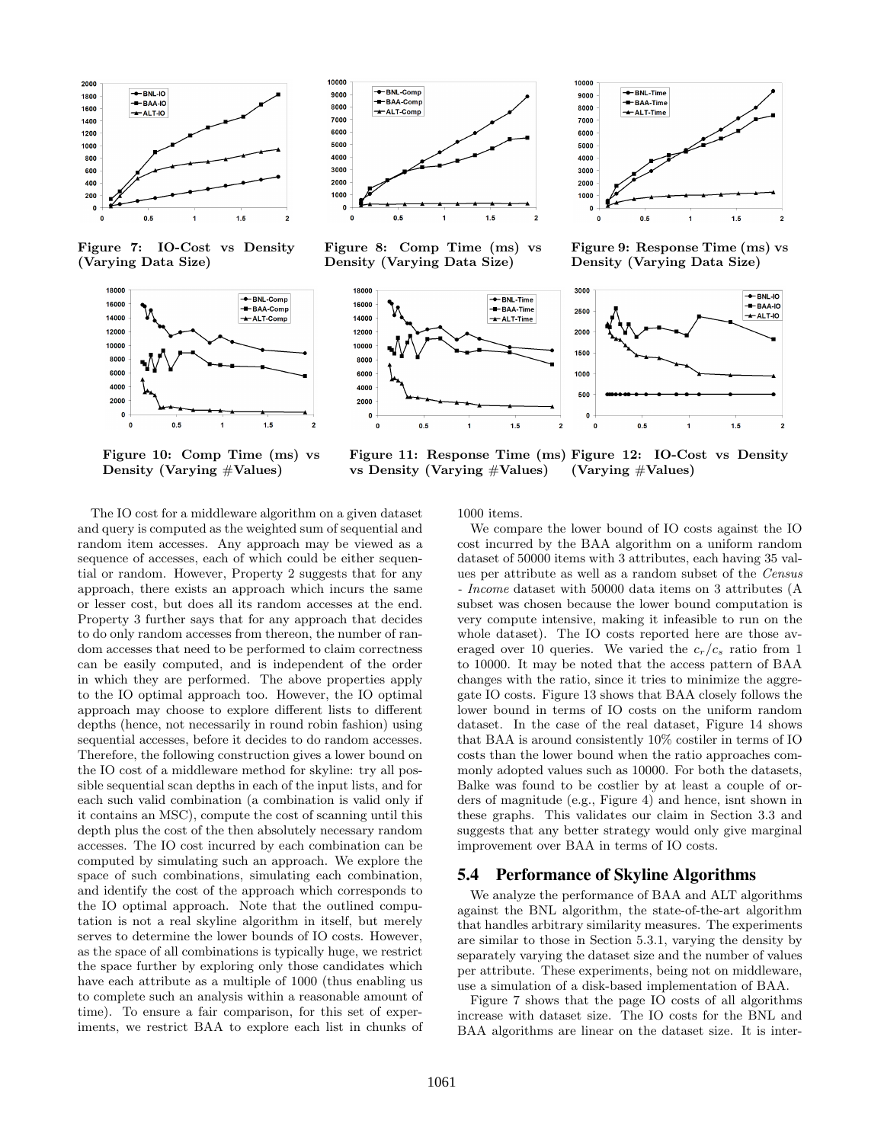![](_page_9_Figure_0.jpeg)

Figure 7: IO-Cost vs Density (Varying Data Size)

![](_page_9_Figure_2.jpeg)

Figure 10: Comp Time (ms) vs Density (Varying #Values)

![](_page_9_Figure_4.jpeg)

Figure 8: Comp Time (ms) vs Density (Varying Data Size)

![](_page_9_Figure_6.jpeg)

![](_page_9_Figure_7.jpeg)

Figure 9: Response Time (ms) vs Density (Varying Data Size)

![](_page_9_Figure_9.jpeg)

Figure 11: Response Time (ms) Figure 12: IO-Cost vs Density vs Density (Varying #Values) (Varying #Values)

The IO cost for a middleware algorithm on a given dataset and query is computed as the weighted sum of sequential and random item accesses. Any approach may be viewed as a sequence of accesses, each of which could be either sequential or random. However, Property 2 suggests that for any approach, there exists an approach which incurs the same or lesser cost, but does all its random accesses at the end. Property 3 further says that for any approach that decides to do only random accesses from thereon, the number of random accesses that need to be performed to claim correctness can be easily computed, and is independent of the order in which they are performed. The above properties apply to the IO optimal approach too. However, the IO optimal approach may choose to explore different lists to different depths (hence, not necessarily in round robin fashion) using sequential accesses, before it decides to do random accesses. Therefore, the following construction gives a lower bound on the IO cost of a middleware method for skyline: try all possible sequential scan depths in each of the input lists, and for each such valid combination (a combination is valid only if it contains an MSC), compute the cost of scanning until this depth plus the cost of the then absolutely necessary random accesses. The IO cost incurred by each combination can be computed by simulating such an approach. We explore the space of such combinations, simulating each combination, and identify the cost of the approach which corresponds to the IO optimal approach. Note that the outlined computation is not a real skyline algorithm in itself, but merely serves to determine the lower bounds of IO costs. However, as the space of all combinations is typically huge, we restrict the space further by exploring only those candidates which have each attribute as a multiple of 1000 (thus enabling us to complete such an analysis within a reasonable amount of time). To ensure a fair comparison, for this set of experiments, we restrict BAA to explore each list in chunks of 1000 items.

We compare the lower bound of IO costs against the IO cost incurred by the BAA algorithm on a uniform random dataset of 50000 items with 3 attributes, each having 35 values per attribute as well as a random subset of the Census - Income dataset with 50000 data items on 3 attributes (A subset was chosen because the lower bound computation is very compute intensive, making it infeasible to run on the whole dataset). The IO costs reported here are those averaged over 10 queries. We varied the  $c_r/c_s$  ratio from 1 to 10000. It may be noted that the access pattern of BAA changes with the ratio, since it tries to minimize the aggregate IO costs. Figure 13 shows that BAA closely follows the lower bound in terms of IO costs on the uniform random dataset. In the case of the real dataset, Figure 14 shows that BAA is around consistently 10% costiler in terms of IO costs than the lower bound when the ratio approaches commonly adopted values such as 10000. For both the datasets, Balke was found to be costlier by at least a couple of orders of magnitude (e.g., Figure 4) and hence, isnt shown in these graphs. This validates our claim in Section 3.3 and suggests that any better strategy would only give marginal improvement over BAA in terms of IO costs.

### 5.4 Performance of Skyline Algorithms

We analyze the performance of BAA and ALT algorithms against the BNL algorithm, the state-of-the-art algorithm that handles arbitrary similarity measures. The experiments are similar to those in Section 5.3.1, varying the density by separately varying the dataset size and the number of values per attribute. These experiments, being not on middleware, use a simulation of a disk-based implementation of BAA.

Figure 7 shows that the page IO costs of all algorithms increase with dataset size. The IO costs for the BNL and BAA algorithms are linear on the dataset size. It is inter-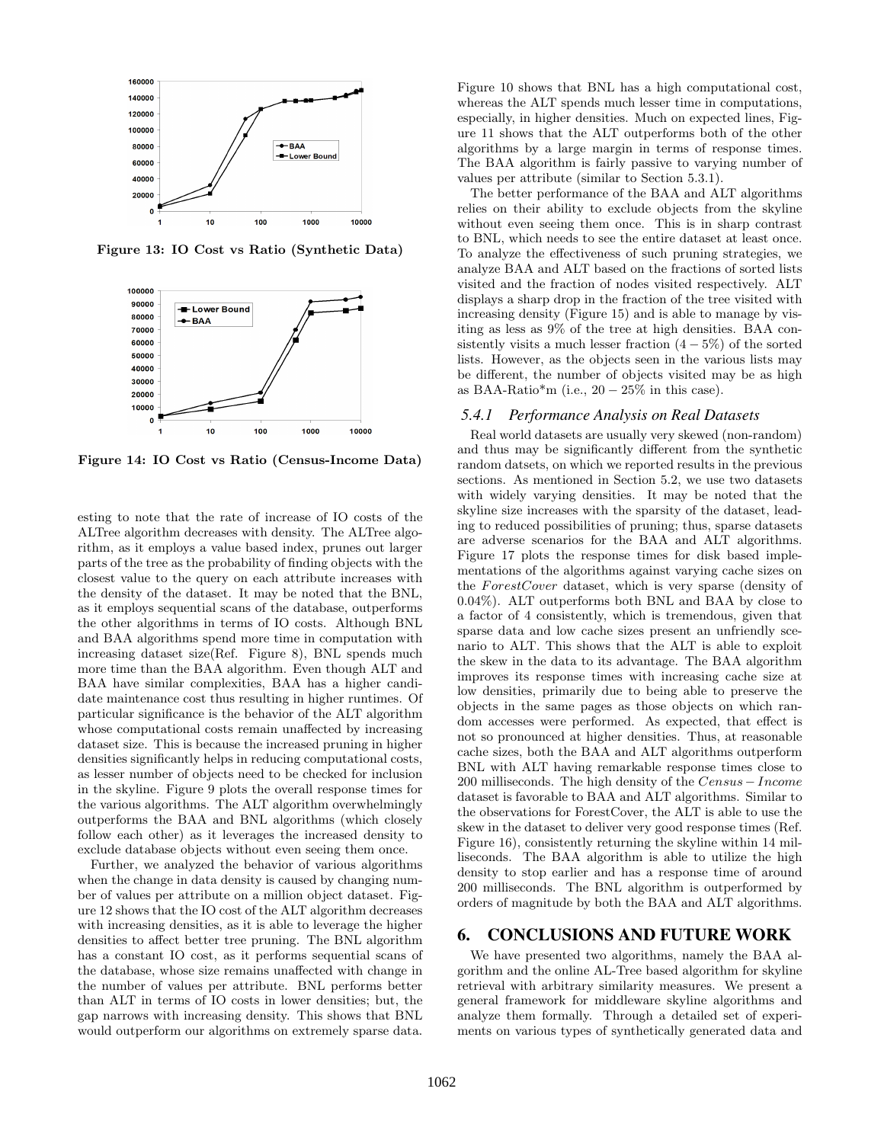![](_page_10_Figure_0.jpeg)

Figure 13: IO Cost vs Ratio (Synthetic Data)

![](_page_10_Figure_2.jpeg)

Figure 14: IO Cost vs Ratio (Census-Income Data)

esting to note that the rate of increase of IO costs of the ALTree algorithm decreases with density. The ALTree algorithm, as it employs a value based index, prunes out larger parts of the tree as the probability of finding objects with the closest value to the query on each attribute increases with the density of the dataset. It may be noted that the BNL, as it employs sequential scans of the database, outperforms the other algorithms in terms of IO costs. Although BNL and BAA algorithms spend more time in computation with increasing dataset size(Ref. Figure 8), BNL spends much more time than the BAA algorithm. Even though ALT and BAA have similar complexities, BAA has a higher candidate maintenance cost thus resulting in higher runtimes. Of particular significance is the behavior of the ALT algorithm whose computational costs remain unaffected by increasing dataset size. This is because the increased pruning in higher densities significantly helps in reducing computational costs, as lesser number of objects need to be checked for inclusion in the skyline. Figure 9 plots the overall response times for the various algorithms. The ALT algorithm overwhelmingly outperforms the BAA and BNL algorithms (which closely follow each other) as it leverages the increased density to exclude database objects without even seeing them once.

Further, we analyzed the behavior of various algorithms when the change in data density is caused by changing number of values per attribute on a million object dataset. Figure 12 shows that the IO cost of the ALT algorithm decreases with increasing densities, as it is able to leverage the higher densities to affect better tree pruning. The BNL algorithm has a constant IO cost, as it performs sequential scans of the database, whose size remains unaffected with change in the number of values per attribute. BNL performs better than ALT in terms of IO costs in lower densities; but, the gap narrows with increasing density. This shows that BNL would outperform our algorithms on extremely sparse data. Figure 10 shows that BNL has a high computational cost, whereas the ALT spends much lesser time in computations, especially, in higher densities. Much on expected lines, Figure 11 shows that the ALT outperforms both of the other algorithms by a large margin in terms of response times. The BAA algorithm is fairly passive to varying number of values per attribute (similar to Section 5.3.1).

The better performance of the BAA and ALT algorithms relies on their ability to exclude objects from the skyline without even seeing them once. This is in sharp contrast to BNL, which needs to see the entire dataset at least once. To analyze the effectiveness of such pruning strategies, we analyze BAA and ALT based on the fractions of sorted lists visited and the fraction of nodes visited respectively. ALT displays a sharp drop in the fraction of the tree visited with increasing density (Figure 15) and is able to manage by visiting as less as 9% of the tree at high densities. BAA consistently visits a much lesser fraction  $(4-5\%)$  of the sorted lists. However, as the objects seen in the various lists may be different, the number of objects visited may be as high as BAA-Ratio $*$ m (i.e., 20 – 25% in this case).

### *5.4.1 Performance Analysis on Real Datasets*

Real world datasets are usually very skewed (non-random) and thus may be significantly different from the synthetic random datsets, on which we reported results in the previous sections. As mentioned in Section 5.2, we use two datasets with widely varying densities. It may be noted that the skyline size increases with the sparsity of the dataset, leading to reduced possibilities of pruning; thus, sparse datasets are adverse scenarios for the BAA and ALT algorithms. Figure 17 plots the response times for disk based implementations of the algorithms against varying cache sizes on the ForestCover dataset, which is very sparse (density of 0.04%). ALT outperforms both BNL and BAA by close to a factor of 4 consistently, which is tremendous, given that sparse data and low cache sizes present an unfriendly scenario to ALT. This shows that the ALT is able to exploit the skew in the data to its advantage. The BAA algorithm improves its response times with increasing cache size at low densities, primarily due to being able to preserve the objects in the same pages as those objects on which random accesses were performed. As expected, that effect is not so pronounced at higher densities. Thus, at reasonable cache sizes, both the BAA and ALT algorithms outperform BNL with ALT having remarkable response times close to 200 milliseconds. The high density of the Census − Income dataset is favorable to BAA and ALT algorithms. Similar to the observations for ForestCover, the ALT is able to use the skew in the dataset to deliver very good response times (Ref. Figure 16), consistently returning the skyline within 14 milliseconds. The BAA algorithm is able to utilize the high density to stop earlier and has a response time of around 200 milliseconds. The BNL algorithm is outperformed by orders of magnitude by both the BAA and ALT algorithms.

### 6. CONCLUSIONS AND FUTURE WORK

We have presented two algorithms, namely the BAA algorithm and the online AL-Tree based algorithm for skyline retrieval with arbitrary similarity measures. We present a general framework for middleware skyline algorithms and analyze them formally. Through a detailed set of experiments on various types of synthetically generated data and